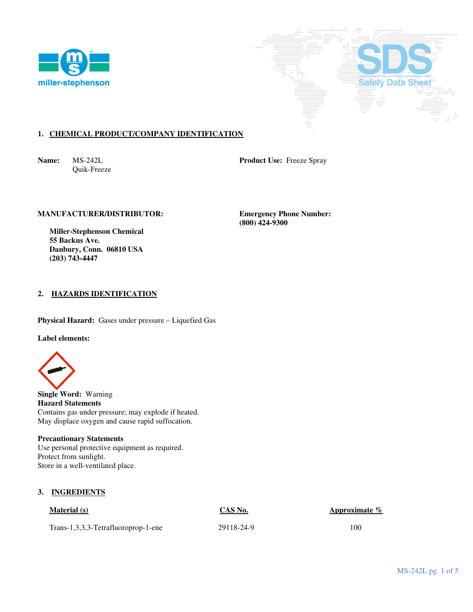



# **1. CHEMICAL PRODUCT/COMPANY IDENTIFICATION**

Quik-Freeze

**Name:** MS-242L **Product Use:** Freeze Spray

# **MANUFACTURER/DISTRIBUTOR: Emergency Phone Number:**

 **(800) 424-9300** 

 **Miller-Stephenson Chemical 55 Backus Ave. Danbury, Conn. 06810 USA (203) 743-4447** 

# **2. HAZARDS IDENTIFICATION**

**Physical Hazard:** Gases under pressure – Liquefied Gas

**Label elements:** 



**Single Word:** Warning **Hazard Statements**  Contains gas under pressure; may explode if heated. May displace oxygen and cause rapid suffocation.

# **Precautionary Statements**

Use personal protective equipment as required. Protect from sunlight. Store in a well-ventilated place.

# **3. INGREDIENTS**

**Material (s) CAS No. CAS No. Approximate** %

Trans-1,3,3,3-Tetrafluoroprop-1-ene 29118-24-9 100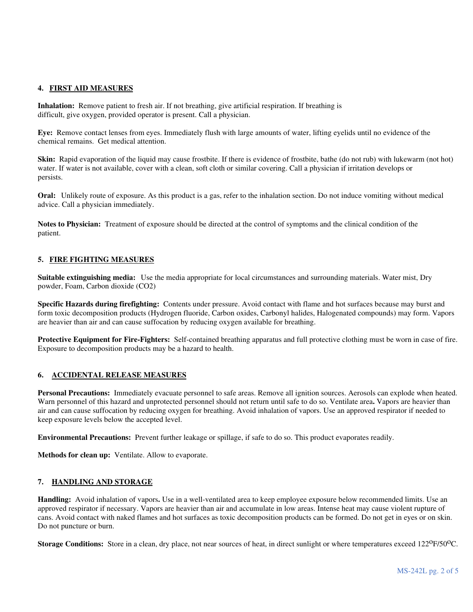### **4. FIRST AID MEASURES**

**Inhalation:** Remove patient to fresh air. If not breathing, give artificial respiration. If breathing is difficult, give oxygen, provided operator is present. Call a physician.

**Eye:** Remove contact lenses from eyes. Immediately flush with large amounts of water, lifting eyelids until no evidence of the chemical remains. Get medical attention.

**Skin:** Rapid evaporation of the liquid may cause frostbite. If there is evidence of frostbite, bathe (do not rub) with lukewarm (not hot) water. If water is not available, cover with a clean, soft cloth or similar covering. Call a physician if irritation develops or persists.

**Oral:** Unlikely route of exposure. As this product is a gas, refer to the inhalation section. Do not induce vomiting without medical advice. Call a physician immediately.

**Notes to Physician:** Treatment of exposure should be directed at the control of symptoms and the clinical condition of the patient.

# **5. FIRE FIGHTING MEASURES**

**Suitable extinguishing media:** Use the media appropriate for local circumstances and surrounding materials. Water mist, Dry powder, Foam, Carbon dioxide (CO2)

**Specific Hazards during firefighting:** Contents under pressure. Avoid contact with flame and hot surfaces because may burst and form toxic decomposition products (Hydrogen fluoride, Carbon oxides, Carbonyl halides, Halogenated compounds) may form. Vapors are heavier than air and can cause suffocation by reducing oxygen available for breathing.

**Protective Equipment for Fire-Fighters:** Self-contained breathing apparatus and full protective clothing must be worn in case of fire. Exposure to decomposition products may be a hazard to health.

# **6. ACCIDENTAL RELEASE MEASURES**

**Personal Precautions:** Immediately evacuate personnel to safe areas. Remove all ignition sources. Aerosols can explode when heated. Warn personnel of this hazard and unprotected personnel should not return until safe to do so. Ventilate area**.** Vapors are heavier than air and can cause suffocation by reducing oxygen for breathing. Avoid inhalation of vapors. Use an approved respirator if needed to keep exposure levels below the accepted level.

**Environmental Precautions:** Prevent further leakage or spillage, if safe to do so. This product evaporates readily.

**Methods for clean up:** Ventilate. Allow to evaporate.

# **7. HANDLING AND STORAGE**

**Handling:** Avoid inhalation of vapors**.** Use in a well-ventilated area to keep employee exposure below recommended limits. Use an approved respirator if necessary. Vapors are heavier than air and accumulate in low areas. Intense heat may cause violent rupture of cans. Avoid contact with naked flames and hot surfaces as toxic decomposition products can be formed. Do not get in eyes or on skin. Do not puncture or burn.

**Storage Conditions:** Store in a clean, dry place, not near sources of heat, in direct sunlight or where temperatures exceed 122<sup>o</sup>F/50<sup>o</sup>C.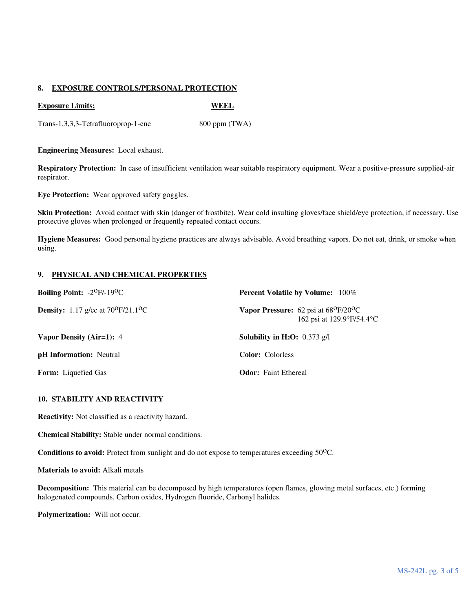# **8. EXPOSURE CONTROLS/PERSONAL PROTECTION**

### **Exposure Limits:** WEEL

Trans-1,3,3,3-Tetrafluoroprop-1-ene 800 ppm (TWA)

**Engineering Measures:** Local exhaust.

**Respiratory Protection:** In case of insufficient ventilation wear suitable respiratory equipment. Wear a positive-pressure supplied-air respirator.

**Eye Protection:** Wear approved safety goggles.

**Skin Protection:** Avoid contact with skin (danger of frostbite). Wear cold insulting gloves/face shield/eye protection, if necessary. Use protective gloves when prolonged or frequently repeated contact occurs.

**Hygiene Measures:** Good personal hygiene practices are always advisable. Avoid breathing vapors. Do not eat, drink, or smoke when using.

# **9. PHYSICAL AND CHEMICAL PROPERTIES**

| <b>Boiling Point:</b> $-2^{\circ}F/-19^{\circ}C$         | <b>Percent Volatile by Volume:</b> 100%                                            |
|----------------------------------------------------------|------------------------------------------------------------------------------------|
| <b>Density:</b> 1.17 g/cc at $70^{\circ}F/21.1^{\circ}C$ | Vapor Pressure: $62$ psi at $68^{\circ}F/20^{\circ}C$<br>162 psi at 129.9°F/54.4°C |
| Vapor Density (Air=1): 4                                 | <b>Solubility in H<sub>2</sub>O</b> : $0.373$ g/l                                  |
| <b>pH</b> Information: Neutral                           | <b>Color:</b> Colorless                                                            |
| <b>Form:</b> Liquefied Gas                               | <b>Odor:</b> Faint Ethereal                                                        |

# **10. STABILITY AND REACTIVITY**

**Reactivity:** Not classified as a reactivity hazard.

**Chemical Stability:** Stable under normal conditions.

**Conditions to avoid:** Protect from sunlight and do not expose to temperatures exceeding 50<sup>o</sup>C.

**Materials to avoid:** Alkali metals

**Decomposition:** This material can be decomposed by high temperatures (open flames, glowing metal surfaces, etc.) forming halogenated compounds, Carbon oxides, Hydrogen fluoride, Carbonyl halides.

**Polymerization:** Will not occur.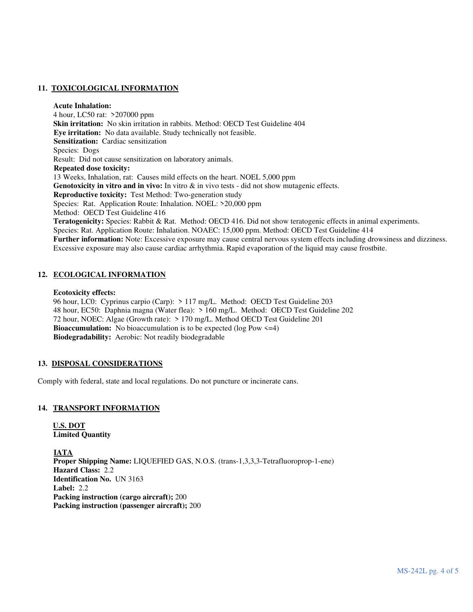# **11. TOXICOLOGICAL INFORMATION**

#### **Acute Inhalation:**

4 hour, LC50 rat: >207000 ppm  **Skin irritation:** No skin irritation in rabbits. Method: OECD Test Guideline 404  **Eye irritation:** No data available. Study technically not feasible.  **Sensitization:** Cardiac sensitization Species: Dogs Result: Did not cause sensitization on laboratory animals. **Repeated dose toxicity:** 13 Weeks, Inhalation, rat: Causes mild effects on the heart. NOEL 5,000 ppm **Genotoxicity in vitro and in vivo:** In vitro & in vivo tests - did not show mutagenic effects. **Reproductive toxicity:** Test Method: Two-generation study Species: Rat. Application Route: Inhalation. NOEL: >20,000 ppm Method: OECD Test Guideline 416 **Teratogenicity:** Species: Rabbit & Rat. Method: OECD 416. Did not show teratogenic effects in animal experiments. Species: Rat. Application Route: Inhalation. NOAEC: 15,000 ppm. Method: OECD Test Guideline 414 **Further information:** Note: Excessive exposure may cause central nervous system effects including drowsiness and dizziness. Excessive exposure may also cause cardiac arrhythmia. Rapid evaporation of the liquid may cause frostbite.

# **12. ECOLOGICAL INFORMATION**

#### **Ecotoxicity effects:**

 96 hour, LC0: Cyprinus carpio (Carp): > 117 mg/L. Method: OECD Test Guideline 203 48 hour, EC50: Daphnia magna (Water flea): > 160 mg/L. Method: OECD Test Guideline 202 72 hour, NOEC: Algae (Growth rate): > 170 mg/L. Method OECD Test Guideline 201 **Bioaccumulation:** No bioaccumulation is to be expected (log Pow  $\leq$ =4) **Biodegradability:** Aerobic: Not readily biodegradable

# **13. DISPOSAL CONSIDERATIONS**

Comply with federal, state and local regulations. Do not puncture or incinerate cans.

# **14. TRANSPORT INFORMATION**

**U.S. DOT Limited Quantity** 

 **IATA Proper Shipping Name:** LIQUEFIED GAS, N.O.S. (trans-1,3,3,3-Tetrafluoroprop-1-ene) **Hazard Class:** 2.2 **Identification No.** UN 3163 **Label:** 2.2 **Packing instruction (cargo aircraft);** 200  **Packing instruction (passenger aircraft);** 200